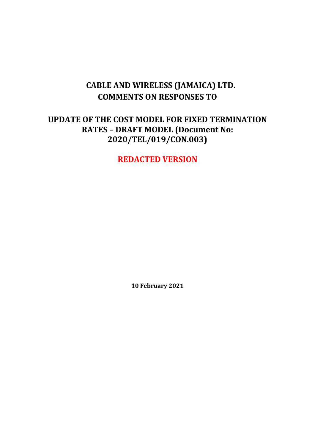# **CABLE AND WIRELESS (JAMAICA) LTD. COMMENTS ON RESPONSES TO**

# **UPDATE OF THE COST MODEL FOR FIXED TERMINATION RATES – DRAFT MODEL (Document No: 2020/TEL/019/CON.003)**

**REDACTED VERSION**

**10 February 2021**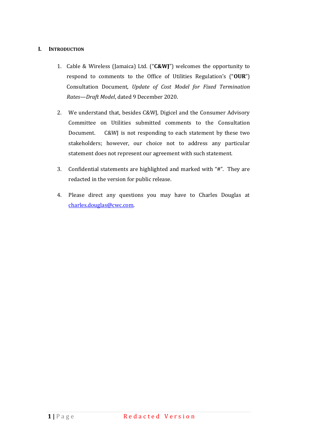#### **I. INTRODUCTION**

- 1. Cable & Wireless (Jamaica) Ltd. ("**C&WJ**") welcomes the opportunity to respond to comments to the Office of Utilities Regulation's ("**OUR**") Consultation Document, *Update of Cost Model for Fixed Termination Rates—Draft Model*, dated 9 December 2020.
- 2. We understand that, besides C&WJ, Digicel and the Consumer Advisory Committee on Utilities submitted comments to the Consultation Document. C&WJ is not responding to each statement by these two stakeholders; however, our choice not to address any particular statement does not represent our agreement with such statement.
- 3. Confidential statements are highlighted and marked with "#". They are redacted in the version for public release.
- 4. Please direct any questions you may have to Charles Douglas at [charles.douglas@cwc.com.](mailto:charles.douglas@cwc.com)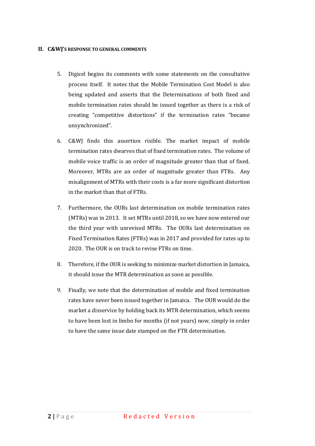#### **II. C&WJ'S RESPONSE TO GENERAL COMMENTS**

- 5. Digicel begins its comments with some statements on the consultative process itself. It notes that the Mobile Termination Cost Model is also being updated and asserts that the Determinations of both fixed and mobile termination rates should be issued together as there is a risk of creating "competitive distortions" if the termination rates "became unsynchronized".
- 6. C&WJ finds this assertion risible. The market impact of mobile termination rates dwarves that of fixed termination rates. The volume of mobile voice traffic is an order of magnitude greater than that of fixed. Moreover, MTRs are an order of magnitude greater than FTRs. Any misalignment of MTRs with their costs is a far more significant distortion in the market than that of FTRs.
- 7. Furthermore, the OURs last determination on mobile termination rates (MTRs) was in 2013. It set MTRs until 2018, so we have now entered our the third year with unrevised MTRs. The OURs last determination on Fixed Termination Rates (FTRs) was in 2017 and provided for rates up to 2020. The OUR is on track to revise FTRs on time.
- 8. Therefore, if the OUR is seeking to minimize market distortion in Jamaica, it should issue the MTR determination as soon as possible.
- 9. Finally, we note that the determination of mobile and fixed termination rates have never been issued together in Jamaica. The OUR would do the market a disservice by holding back its MTR determination, which seems to have been lost in limbo for months (if not years) now, simply in order to have the same issue date stamped on the FTR determination.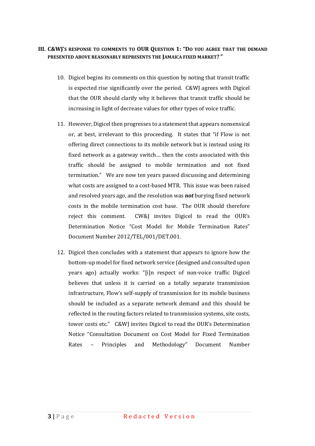#### **III. C&WJ'S RESPONSE TO COMMENTS TO OUR QUESTION 1: "DO YOU AGREE THAT THE DEMAND PRESENTED ABOVE REASONABLY REPRESENTS THE JAMAICA FIXED MARKET? "**

- 10. Digicel begins its comments on this question by noting that transit traffic is expected rise significantly over the period. C&WJ agrees with Digicel that the OUR should clarify why it believes that transit traffic should be increasing in light of decrease values for other types of voice traffic.
- 11. However, Digicel then progresses to a statement that appears nonsensical or, at best, irrelevant to this proceeding. It states that "if Flow is not offering direct connections to its mobile network but is instead using its fixed network as a gateway switch… then the costs associated with this traffic should be assigned to mobile termination and not fixed termination." We are now ten years passed discussing and determining what costs are assigned to a cost-based MTR. This issue was been raised and resolved years ago, and the resolution was *not* burying fixed network costs in the mobile termination cost base. The OUR should therefore reject this comment. CW&J invites Digicel to read the OUR's Determination Notice "Cost Model for Mobile Termination Rates" Document Number 2012/TEL/001/DET.001.
- 12. Digicel then concludes with a statement that appears to ignore how the bottom-up model for fixed network service (designed and consulted upon years ago) actually works: "[i]n respect of non-voice traffic Digicel believes that unless it is carried on a totally separate transmission infrastructure, Flow's self-supply of transmission for its mobile business should be included as a separate network demand and this should be reflected in the routing factors related to transmission systems, site costs, tower costs etc." C&WJ invites Digicel to read the OUR's Determination Notice "Consultation Document on Cost Model for Fixed Termination Rates – Principles and Methodology" Document Number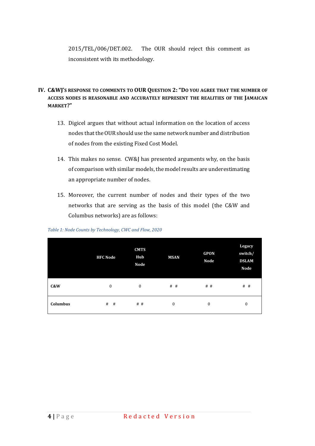2015/TEL/006/DET.002. The OUR should reject this comment as inconsistent with its methodology.

# **IV. C&WJ'S RESPONSE TO COMMENTS TO OUR QUESTION 2: "DO YOU AGREE THAT THE NUMBER OF ACCESS NODES IS REASONABLE AND ACCURATELY REPRESENT THE REALITIES OF THE JAMAICAN MARKET?"**

- 13. Digicel argues that without actual information on the location of access nodes that the OUR should use the same network number and distribution of nodes from the existing Fixed Cost Model.
- 14. This makes no sense. CW&J has presented arguments why, on the basis of comparison with similar models, the model results are underestimating an appropriate number of nodes.
- 15. Moreover, the current number of nodes and their types of the two networks that are serving as the basis of this model (the C&W and Columbus networks) are as follows:

|          | <b>HFC Node</b>  | <b>CMTS</b><br>Hub<br>Node | <b>MSAN</b>      | <b>GPON</b><br>Node | Legacy<br>switch/<br><b>DSLAM</b><br>Node |
|----------|------------------|----------------------------|------------------|---------------------|-------------------------------------------|
| C&W      | $\boldsymbol{0}$ | $\bf{0}$                   | $#$ #            | $#$ #               | $#$ #                                     |
| Columbus | $\#$<br>#        | # #                        | $\boldsymbol{0}$ | $\boldsymbol{0}$    | $\boldsymbol{0}$                          |

*Table 1: Node Counts by Technology, CWC and Flow, 2020*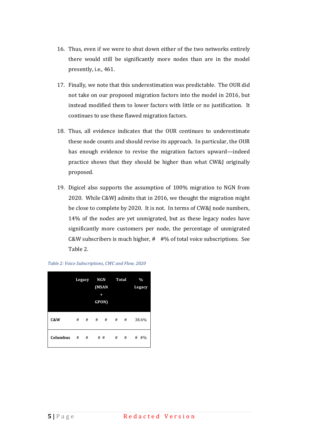- 16. Thus, even if we were to shut down either of the two networks entirely there would still be significantly more nodes than are in the model presently, i.e., 461.
- 17. Finally, we note that this underestimation was predictable. The OUR did not take on our proposed migration factors into the model in 2016, but instead modified them to lower factors with little or no justification. It continues to use these flawed migration factors.
- 18. Thus, all evidence indicates that the OUR continues to underestimate these node counts and should revise its approach. In particular, the OUR has enough evidence to revise the migration factors upward—indeed practice shows that they should be higher than what CW&J originally proposed.
- 19. Digicel also supports the assumption of 100% migration to NGN from 2020. While C&WJ admits that in 2016, we thought the migration might be close to complete by 2020. It is not. In terms of CW&J node numbers, 14% of the nodes are yet unmigrated, but as these legacy nodes have significantly more customers per node, the percentage of unmigrated C&W subscribers is much higher, # #% of total voice subscriptions. See Table 2.



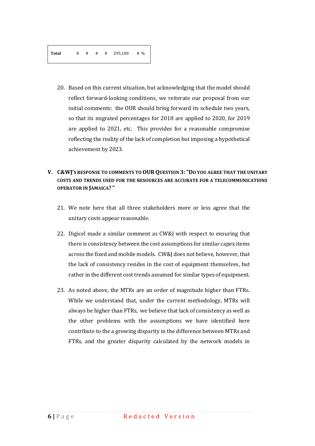20. Based on this current situation, but acknowledging that the model should reflect forward-looking conditions, we reiterate our proposal from our initial comments: the OUR should bring forward its schedule two years, so that its migrated percentages for 2018 are applied to 2020, for 2019 are applied to 2021, etc. This provides for a reasonable compromise reflecting the reality of the lack of completion but imposing a hypothetical achievement by 2023.

#### **V. C&WJ'S RESPONSE TO COMMENTS TO OUR QUESTION 3:"DO YOU AGREE THAT THE UNITARY COSTS AND TRENDS USED FOR THE RESOURCES ARE ACCURATE FOR A TELECOMMUNICATIONS OPERATOR IN JAMAICA? "**

- 21. We note here that all three stakeholders more or less agree that the unitary costs appear reasonable.
- 22. Digicel made a similar comment as CW&J with respect to ensuring that there is consistency between the cost assumptions for similar capex items across the fixed and mobile models. CW&J does not believe, however, that the lack of consistency resides in the cost of equipment themselves, but rather in the different cost trends assumed for similar types of equipment.
- 23. As noted above, the MTRs are an order of magnitude higher than FTRs. While we understand that, under the current methodology, MTRs will always be higher than FTRs, we believe that lack of consistency as well as the other problems with the assumptions we have identified here contribute to the a growing disparity in the difference between MTRs and FTRs, and the greater disparity calculated by the network models in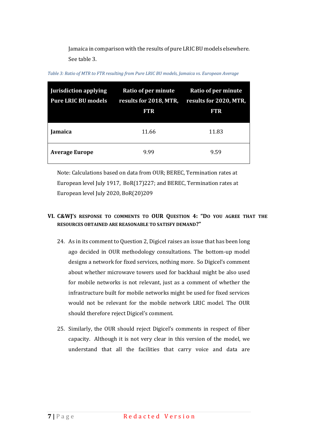Jamaica in comparison with the results of pure LRIC BU models elsewhere. See table 3.

| <b>Jurisdiction applying</b><br><b>Pure LRIC BU models</b> | Ratio of per minute<br>results for 2018, MTR,<br><b>FTR</b> | Ratio of per minute<br>results for 2020, MTR,<br><b>FTR</b> |
|------------------------------------------------------------|-------------------------------------------------------------|-------------------------------------------------------------|
| <b>Jamaica</b>                                             | 11.66                                                       | 11.83                                                       |
| <b>Average Europe</b>                                      | 9.99                                                        | 9.59                                                        |

*Table 3: Ratio of MTR to FTR resulting from Pure LRIC BU models, Jamaica vs. European Average*

Note: Calculations based on data from OUR; BEREC, Termination rates at European level July 1917, BoR(17)227; and BEREC, Termination rates at European level July 2020, BoR(20)209

#### **VI. C&WJ'S RESPONSE TO COMMENTS TO OUR QUESTION 4: "DO YOU AGREE THAT THE RESOURCES OBTAINED ARE REASONABLE TO SATISFY DEMAND?"**

- 24. As in its comment to Question 2, Digicel raises an issue that has been long ago decided in OUR methodology consultations. The bottom-up model designs a network for fixed services, nothing more. So Digicel's comment about whether microwave towers used for backhaul might be also used for mobile networks is not relevant, just as a comment of whether the infrastructure built for mobile networks might be used for fixed services would not be relevant for the mobile network LRIC model. The OUR should therefore reject Digicel's comment.
- 25. Similarly, the OUR should reject Digicel's comments in respect of fiber capacity. Although it is not very clear in this version of the model, we understand that all the facilities that carry voice and data are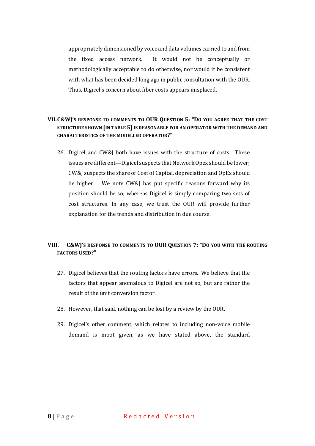appropriately dimensioned by voice and data volumes carried to and from the fixed access network. It would not be conceptually or methodologically acceptable to do otherwise, nor would it be consistent with what has been decided long ago in public consultation with the OUR. Thus, Digicel's concern about fiber costs appears misplaced.

# **VII.C&WJ'S RESPONSE TO COMMENTS TO OUR QUESTION 5: "DO YOU AGREE THAT THE COST STRUCTURE SHOWN [IN TABLE 5] IS REASONABLE FOR AN OPERATOR WITH THE DEMAND AND CHARACTERISTICS OF THE MODELLED OPERATOR?"**

26. Digicel and CW&J both have issues with the structure of costs. These issues are different—Digicel suspects that Network Opex should be lower; CW&J suspects the share of Cost of Capital, depreciation and OpEx should be higher. We note CW&J has put specific reasons forward why its position should be so; whereas Digicel is simply comparing two sets of cost structures. In any case, we trust the OUR will provide further explanation for the trends and distribution in due course.

# **VIII. C&WJ'S RESPONSE TO COMMENTS TO OUR QUESTION 7: "DO YOU WITH THE ROUTING FACTORS USED?"**

- 27. Digicel believes that the routing factors have errors. We believe that the factors that appear anomalous to Digicel are not so, but are rather the result of the unit conversion factor.
- 28. However, that said, nothing can be lost by a review by the OUR.
- 29. Digicel's other comment, which relates to including non-voice mobile demand is moot given, as we have stated above, the standard